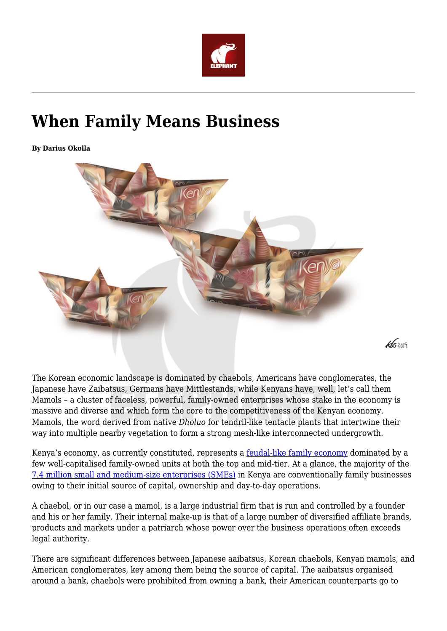

## **When Family Means Business**

**By Darius Okolla**



The Korean economic landscape is dominated by chaebols, Americans have conglomerates, the Japanese have Zaibatsus, Germans have Mittlestands, while Kenyans have, well, let's call them Mamols – a cluster of faceless, powerful, family-owned enterprises whose stake in the economy is massive and diverse and which form the core to the competitiveness of the Kenyan economy. Mamols, the word derived from native *Dholuo* for tendril-like tentacle plants that intertwine their way into multiple nearby vegetation to form a strong mesh-like interconnected undergrowth.

 $45209$ 

Kenya's economy, as currently constituted, represents a [feudal-like family economy](https://www.theelephant.info/op-eds/2019/04/02/crony-capitalism-and-state-capture-2-documents-reveal-the-kenyatta-familys-plans-to-take-over-lending-to-smes/) dominated by a few well-capitalised family-owned units at both the top and mid-tier. At a glance, the majority of the [7.4 million small and medium-size enterprises \(SMEs\)](https://www.knbs.or.ke/download/2016-msme-basic-report/) in Kenya are conventionally family businesses owing to their initial source of capital, ownership and day-to-day operations.

A chaebol, or in our case a mamol, is a large industrial firm that is run and controlled by a founder and his or her family. Their internal make-up is that of a large number of diversified affiliate brands, products and markets under a patriarch whose power over the business operations often exceeds legal authority.

There are significant differences between Japanese aaibatsus, Korean chaebols, Kenyan mamols, and American conglomerates, key among them being the source of capital. The aaibatsus organised around a bank, chaebols were prohibited from owning a bank, their American counterparts go to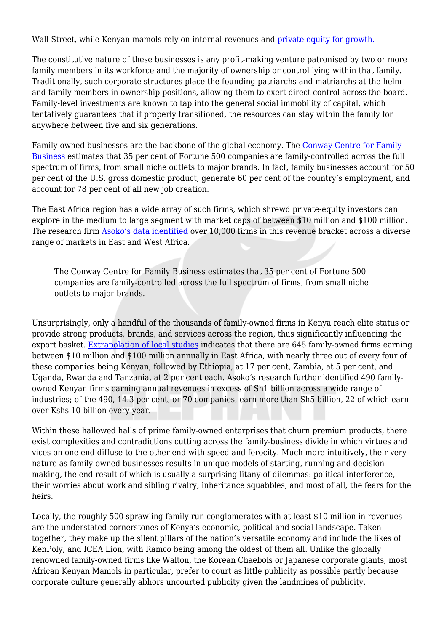Wall Street, while Kenyan mamols rely on internal revenues and [private equity for growth.](https://www.pwc.com/ke/en/assets/pdf/kenya-family-business-survey-2018.pdf)

The constitutive nature of these businesses is any profit-making venture patronised by two or more family members in its workforce and the majority of ownership or control lying within that family. Traditionally, such corporate structures place the founding patriarchs and matriarchs at the helm and family members in ownership positions, allowing them to exert direct control across the board. Family-level investments are known to tap into the general social immobility of capital, which tentatively guarantees that if properly transitioned, the resources can stay within the family for anywhere between five and six generations.

Family-owned businesses are the backbone of the global economy. The [Conway Centre for Family](https://www.familybusinesscenter.com/resources/family-business-facts/) [Business](https://www.familybusinesscenter.com/resources/family-business-facts/) estimates that 35 per cent of Fortune 500 companies are family-controlled across the full spectrum of firms, from small niche outlets to major brands. In fact, family businesses account for 50 per cent of the U.S. gross domestic product, generate 60 per cent of the country's employment, and account for 78 per cent of all new job creation.

The East Africa region has a wide array of such firms, which shrewd private-equity investors can explore in the medium to large segment with market caps of between \$10 million and \$100 million. The research firm [Asoko's data identified](https://asokoinsight.com/content/quick-insights/kenya-leading-family-owned-businesses) over 10,000 firms in this revenue bracket across a diverse range of markets in East and West Africa.

The Conway Centre for Family Business estimates that 35 per cent of Fortune 500 companies are family-controlled across the full spectrum of firms, from small niche outlets to major brands.

Unsurprisingly, only a handful of the thousands of family-owned firms in Kenya reach elite status or provide strong products, brands, and services across the region, thus significantly influencing the export basket. [Extrapolation of local studies](https://www.theafricareport.com/15272/want-to-invest-in-africa-try-family-businesses/) indicates that there are 645 family-owned firms earning between \$10 million and \$100 million annually in East Africa, with nearly three out of every four of these companies being Kenyan, followed by Ethiopia, at 17 per cent, Zambia, at 5 per cent, and Uganda, Rwanda and Tanzania, at 2 per cent each. Asoko's research further identified 490 familyowned Kenyan firms earning annual revenues in excess of Sh1 billion across a wide range of industries; of the 490, 14.3 per cent, or 70 companies, earn more than Sh5 billion, 22 of which earn over Kshs 10 billion every year.

Within these hallowed halls of prime family-owned enterprises that churn premium products, there exist complexities and contradictions cutting across the family-business divide in which virtues and vices on one end diffuse to the other end with speed and ferocity. Much more intuitively, their very nature as family-owned businesses results in unique models of starting, running and decisionmaking, the end result of which is usually a surprising litany of dilemmas: political interference, their worries about work and sibling rivalry, inheritance squabbles, and most of all, the fears for the heirs.

Locally, the roughly 500 sprawling family-run conglomerates with at least \$10 million in revenues are the understated cornerstones of Kenya's economic, political and social landscape. Taken together, they make up the silent pillars of the nation's versatile economy and include the likes of KenPoly, and ICEA Lion, with Ramco being among the oldest of them all. Unlike the globally renowned family-owned firms like Walton, the Korean Chaebols or Japanese corporate giants, most African Kenyan Mamols in particular, prefer to court as little publicity as possible partly because corporate culture generally abhors uncourted publicity given the landmines of publicity.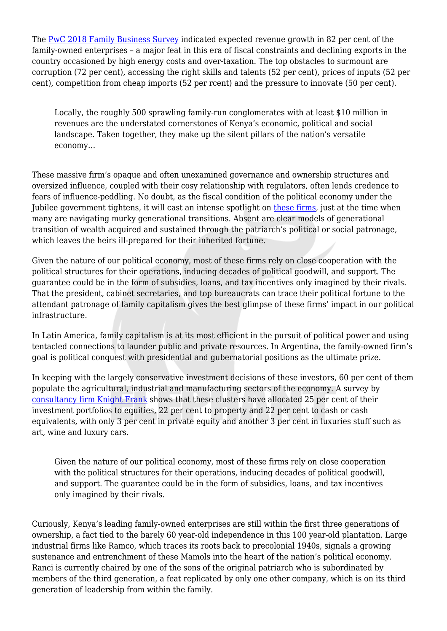The [PwC 2018 Family Business Survey](https://www.pwc.com/ke/en/assets/pdf/kenya-family-business-survey-2018.pdf) indicated expected revenue growth in 82 per cent of the family-owned enterprises – a major feat in this era of fiscal constraints and declining exports in the country occasioned by high energy costs and over-taxation. The top obstacles to surmount are corruption (72 per cent), accessing the right skills and talents (52 per cent), prices of inputs (52 per cent), competition from cheap imports (52 per rcent) and the pressure to innovate (50 per cent).

Locally, the roughly 500 sprawling family-run conglomerates with at least \$10 million in revenues are the understated cornerstones of Kenya's economic, political and social landscape. Taken together, they make up the silent pillars of the nation's versatile economy…

These massive firm's opaque and often unexamined governance and ownership structures and oversized influence, coupled with their cosy relationship with regulators, often lends credence to fears of influence-peddling. No doubt, as the fiscal condition of the political economy under the Jubilee government tightens, it will cast an intense spotlight on [these firms,](https://www.nation.co.ke/news/Keroche-Breweries-bosses-Karanja-court-tax-evasion/1056-5246060-htl2cu/index.html) just at the time when many are navigating murky generational transitions. Absent are clear models of generational transition of wealth acquired and sustained through the patriarch's political or social patronage, which leaves the heirs ill-prepared for their inherited fortune.

Given the nature of our political economy, most of these firms rely on close cooperation with the political structures for their operations, inducing decades of political goodwill, and support. The guarantee could be in the form of subsidies, loans, and tax incentives only imagined by their rivals. That the president, cabinet secretaries, and top bureaucrats can trace their political fortune to the attendant patronage of family capitalism gives the best glimpse of these firms' impact in our political infrastructure.

In Latin America, family capitalism is at its most efficient in the pursuit of political power and using tentacled connections to launder public and private resources. In Argentina, the family-owned firm's goal is political conquest with presidential and gubernatorial positions as the ultimate prize.

In keeping with the largely conservative investment decisions of these investors, 60 per cent of them populate the agricultural, industrial and manufacturing sectors of the economy. A survey by [consultancy firm Knight Frank](https://www.knightfrank.com/news/kenya%E2%80%99s-super-rich-buy-new-homes-as-market-softens-013002.aspx) shows that these clusters have allocated 25 per cent of their investment portfolios to equities, 22 per cent to property and 22 per cent to cash or cash equivalents, with only 3 per cent in private equity and another 3 per cent in luxuries stuff such as art, wine and luxury cars.

Given the nature of our political economy, most of these firms rely on close cooperation with the political structures for their operations, inducing decades of political goodwill, and support. The guarantee could be in the form of subsidies, loans, and tax incentives only imagined by their rivals.

Curiously, Kenya's leading family-owned enterprises are still within the first three generations of ownership, a fact tied to the barely 60 year-old independence in this 100 year-old plantation. Large industrial firms like Ramco, which traces its roots back to precolonial 1940s, signals a growing sustenance and entrenchment of these Mamols into the heart of the nation's political economy. Ranci is currently chaired by one of the sons of the original patriarch who is subordinated by members of the third generation, a feat replicated by only one other company, which is on its third generation of leadership from within the family.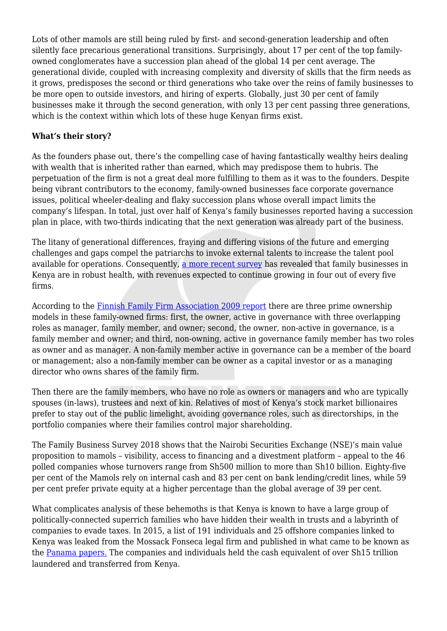Lots of other mamols are still being ruled by first- and second-generation leadership and often silently face precarious generational transitions. Surprisingly, about 17 per cent of the top familyowned conglomerates have a succession plan ahead of the global 14 per cent average. The generational divide, coupled with increasing complexity and diversity of skills that the firm needs as it grows, predisposes the second or third generations who take over the reins of family businesses to be more open to outside investors, and hiring of experts. Globally, just 30 per cent of family businesses make it through the second generation, with only 13 per cent passing three generations, which is the context within which lots of these huge Kenyan firms exist.

## **What's their story?**

As the founders phase out, there's the compelling case of having fantastically wealthy heirs dealing with wealth that is inherited rather than earned, which may predispose them to hubris. The perpetuation of the firm is not a great deal more fulfilling to them as it was to the founders. Despite being vibrant contributors to the economy, family-owned businesses face corporate governance issues, political wheeler-dealing and flaky succession plans whose overall impact limits the company's lifespan. In total, just over half of Kenya's family businesses reported having a succession plan in place, with two-thirds indicating that the next generation was already part of the business.

The litany of generational differences, fraying and differing visions of the future and emerging challenges and gaps compel the patriarchs to invoke external talents to increase the talent pool available for operations. Consequently, [a more recent survey](https://www.pwc.com/ke/en/publications/family-business-survey.html?hootPostID=f57b1bf42ff8cbdf64edf4beed1e9c0e) has revealed that family businesses in Kenya are in robust health, with revenues expected to continue growing in four out of every five firms.

According to the [Finnish Family Firm Association 2009 report](http://www.europeanfamilybusinesses.eu/uploads/Modules/Publications/finland-fam-bus.pdf) there are three prime ownership models in these family-owned firms: first, the owner, active in governance with three overlapping roles as manager, family member, and owner; second, the owner, non-active in governance, is a family member and owner; and third, non-owning, active in governance family member has two roles as owner and as manager. A non-family member active in governance can be a member of the board or management; also a non-family member can be owner as a capital investor or as a managing director who owns shares of the family firm.

Then there are the family members, who have no role as owners or managers and who are typically spouses (in-laws), trustees and next of kin. Relatives of most of Kenya's stock market billionaires prefer to stay out of the public limelight, avoiding governance roles, such as directorships, in the portfolio companies where their families control major shareholding.

The Family Business Survey 2018 shows that the Nairobi Securities Exchange (NSE)'s main value proposition to mamols – visibility, access to financing and a divestment platform – appeal to the 46 polled companies whose turnovers range from Sh500 million to more than Sh10 billion. Eighty-five per cent of the Mamols rely on internal cash and 83 per cent on bank lending/credit lines, while 59 per cent prefer private equity at a higher percentage than the global average of 39 per cent.

What complicates analysis of these behemoths is that Kenya is known to have a large group of politically-connected superrich families who have hidden their wealth in trusts and a labyrinth of companies to evade taxes. In 2015, a list of 191 individuals and 25 offshore companies linked to Kenya was leaked from the Mossack Fonseca legal firm and published in what came to be known as the [Panama papers.](https://offshoreleaks.icij.org/search?c=KEN&cat=3) The companies and individuals held the cash equivalent of over Sh15 trillion laundered and transferred from Kenya.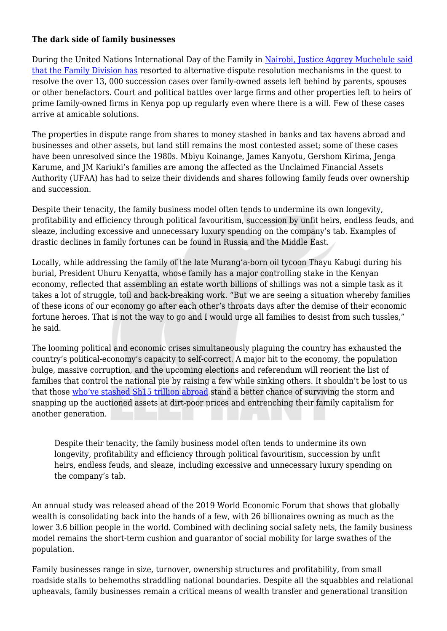## **The dark side of family businesses**

During the United Nations International Day of the Family in [Nairobi, Justice Aggrey Muchelule said](https://www.judiciary.go.ke/seek-alternative-dispute-resolutions-to-unlock-family-wealth-says-judge-muchelule/) [that the Family Division has](https://www.judiciary.go.ke/seek-alternative-dispute-resolutions-to-unlock-family-wealth-says-judge-muchelule/) resorted to alternative dispute resolution mechanisms in the quest to resolve the over 13, 000 succession cases over family-owned assets left behind by parents, spouses or other benefactors. Court and political battles over large firms and other properties left to heirs of prime family-owned firms in Kenya pop up regularly even where there is a will. Few of these cases arrive at amicable solutions.

The properties in dispute range from shares to money stashed in banks and tax havens abroad and businesses and other assets, but land still remains the most contested asset; some of these cases have been unresolved since the 1980s. Mbiyu Koinange, James Kanyotu, Gershom Kirima, Jenga Karume, and JM Kariuki's families are among the affected as the Unclaimed Financial Assets Authority (UFAA) has had to seize their dividends and shares following family feuds over ownership and succession.

Despite their tenacity, the family business model often tends to undermine its own longevity, profitability and efficiency through political favouritism, succession by unfit heirs, endless feuds, and sleaze, including excessive and unnecessary luxury spending on the company's tab. Examples of drastic declines in family fortunes can be found in Russia and the Middle East.

Locally, while addressing the family of the late Murang'a-born oil tycoon Thayu Kabugi during his burial, President Uhuru Kenyatta, whose family has a major controlling stake in the Kenyan economy, reflected that assembling an estate worth billions of shillings was not a simple task as it takes a lot of struggle, toil and back-breaking work. "But we are seeing a situation whereby families of these icons of our economy go after each other's throats days after the demise of their economic fortune heroes. That is not the way to go and I would urge all families to desist from such tussles," he said.

The looming political and economic crises simultaneously plaguing the country has exhausted the country's political-economy's capacity to self-correct. A major hit to the economy, the population bulge, massive corruption, and the upcoming elections and referendum will reorient the list of families that control the national pie by raising a few while sinking others. It shouldn't be lost to us that those [who've stashed Sh15 trillion abroad](https://panamapapers.investigativecenters.org/kenya/) stand a better chance of surviving the storm and snapping up the auctioned assets at dirt-poor prices and entrenching their family capitalism for another generation.

Despite their tenacity, the family business model often tends to undermine its own longevity, profitability and efficiency through political favouritism, succession by unfit heirs, endless feuds, and sleaze, including excessive and unnecessary luxury spending on the company's tab.

An annual study was released ahead of the 2019 World Economic Forum that shows that globally wealth is consolidating back into the hands of a few, with 26 billionaires owning as much as the lower 3.6 billion people in the world. Combined with declining social safety nets, the family business model remains the short-term cushion and guarantor of social mobility for large swathes of the population.

Family businesses range in size, turnover, ownership structures and profitability, from small roadside stalls to behemoths straddling national boundaries. Despite all the squabbles and relational upheavals, family businesses remain a critical means of wealth transfer and generational transition